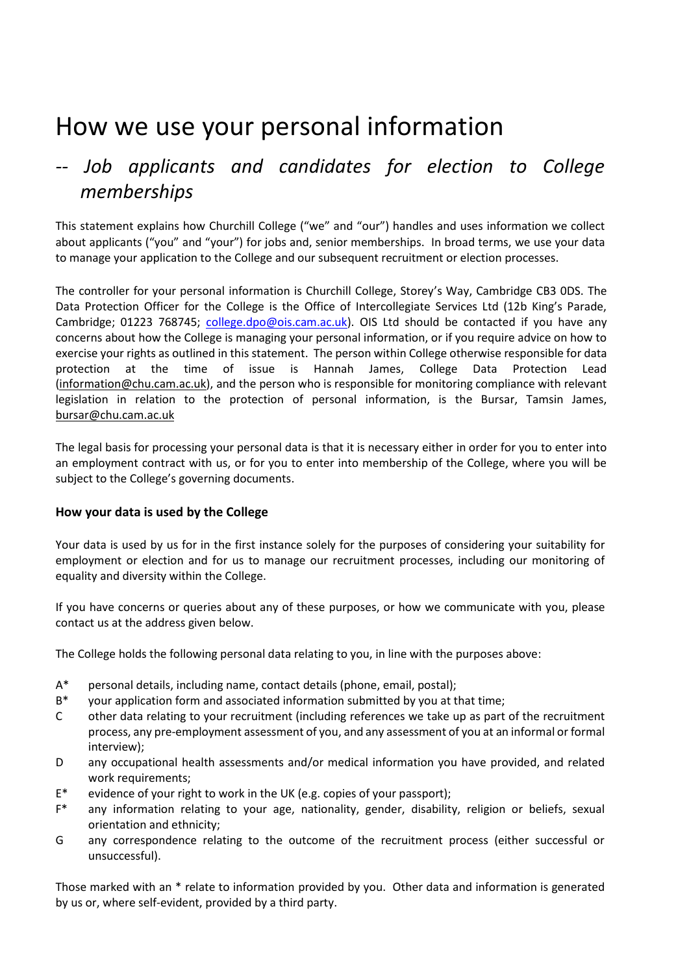# How we use your personal information

## *-- Job applicants and candidates for election to College memberships*

This statement explains how Churchill College ("we" and "our") handles and uses information we collect about applicants ("you" and "your") for jobs and, senior memberships. In broad terms, we use your data to manage your application to the College and our subsequent recruitment or election processes.

The controller for your personal information is Churchill College, Storey's Way, Cambridge CB3 0DS. The Data Protection Officer for the College is the Office of Intercollegiate Services Ltd (12b King's Parade, Cambridge; 01223 768745; [college.dpo@ois.cam.ac.uk\)](mailto:college.dpo@ois.cam.ac.uk). OIS Ltd should be contacted if you have any concerns about how the College is managing your personal information, or if you require advice on how to exercise your rights as outlined in this statement. The person within College otherwise responsible for data protection at the time of issue is Hannah James, College Data Protection Lead [\(information@chu.cam.ac.uk\)](mailto:information@chu.cam.ac.uk), and the person who is responsible for monitoring compliance with relevant legislation in relation to the protection of personal information, is the Bursar, Tamsin James, [bursar@chu.cam.ac.uk](mailto:bursar@chu.cam.ac.uk)

The legal basis for processing your personal data is that it is necessary either in order for you to enter into an employment contract with us, or for you to enter into membership of the College, where you will be subject to the College's governing documents.

### **How your data is used by the College**

Your data is used by us for in the first instance solely for the purposes of considering your suitability for employment or election and for us to manage our recruitment processes, including our monitoring of equality and diversity within the College.

If you have concerns or queries about any of these purposes, or how we communicate with you, please contact us at the address given below.

The College holds the following personal data relating to you, in line with the purposes above:

- A\* personal details, including name, contact details (phone, email, postal);
- B\* your application form and associated information submitted by you at that time;
- C other data relating to your recruitment (including references we take up as part of the recruitment process, any pre-employment assessment of you, and any assessment of you at an informal or formal interview);
- D any occupational health assessments and/or medical information you have provided, and related work requirements;
- E\* evidence of your right to work in the UK (e.g. copies of your passport);
- F\* any information relating to your age, nationality, gender, disability, religion or beliefs, sexual orientation and ethnicity;
- G any correspondence relating to the outcome of the recruitment process (either successful or unsuccessful).

Those marked with an \* relate to information provided by you. Other data and information is generated by us or, where self-evident, provided by a third party.